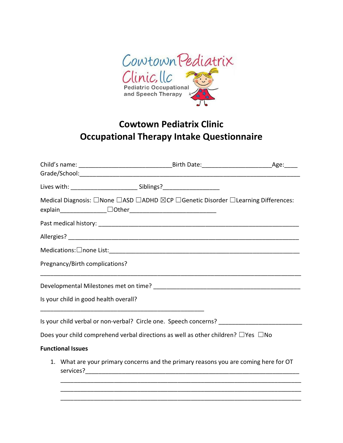

# Cowtown Pediatrix Clinic Occupational Therapy Intake Questionnaire

|  |                                       |                                                                                              | Medical Diagnosis: □None □ASD □ADHD ⊠CP □Genetic Disorder □Learning Differences:     |
|--|---------------------------------------|----------------------------------------------------------------------------------------------|--------------------------------------------------------------------------------------|
|  |                                       |                                                                                              |                                                                                      |
|  |                                       |                                                                                              |                                                                                      |
|  |                                       |                                                                                              |                                                                                      |
|  | Pregnancy/Birth complications?        |                                                                                              |                                                                                      |
|  |                                       |                                                                                              |                                                                                      |
|  | Is your child in good health overall? |                                                                                              |                                                                                      |
|  |                                       |                                                                                              |                                                                                      |
|  |                                       | Does your child comprehend verbal directions as well as other children? $\Box$ Yes $\Box$ No |                                                                                      |
|  | <b>Functional Issues</b>              |                                                                                              |                                                                                      |
|  |                                       |                                                                                              | 1. What are your primary concerns and the primary reasons you are coming here for OT |
|  |                                       |                                                                                              |                                                                                      |
|  |                                       |                                                                                              |                                                                                      |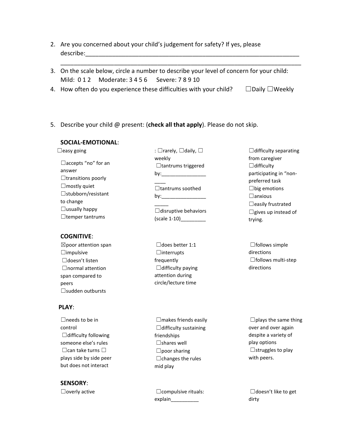- 2. Are you concerned about your child's judgement for safety? If yes, please describe:
- 3. On the scale below, circle a number to describe your level of concern for your child: Mild: 0 1 2 Moderate: 3 4 5 6 Severe: 7 8 9 10

\_\_\_\_\_\_\_\_\_\_\_\_\_\_\_\_\_\_\_\_\_\_\_\_\_\_\_\_\_\_\_\_\_\_\_\_\_\_\_\_\_\_\_\_\_\_\_\_\_\_\_\_\_\_\_\_\_\_\_\_\_\_\_\_\_\_\_\_\_\_\_\_

- 4. How often do you experience these difficulties with your child?  $□$ Daily  $□$ Weekly
- 5. Describe your child @ present: (check all that apply). Please do not skip.

# SOCIAL-EMOTIONAL:

 $\Box$ easy going ☐accepts "no" for an answer  $\Box$ transitions poorly  $\Box$ mostly quiet ☐stubborn/resistant to change  $\Box$ usually happy ☐temper tantrums

# COGNITIVE:

 $\boxtimes$ poor attention span ☐impulsive ☐doesn't listen □normal attention span compared to peers ☐sudden outbursts

# PLAY:

□needs to be in control ☐difficulty following someone else's rules  $□$ can take turns  $□$ plays side by side peer but does not interact

SENSORY:

: □rarely, □daily, □ weekly □tantrums triggered by:\_\_\_\_\_\_\_\_\_\_\_\_\_\_\_\_  $\overline{\phantom{a}}$ ☐tantrums soothed by:\_\_\_\_\_\_\_\_\_\_\_\_\_\_\_\_  $\overline{\phantom{a}}$  $\Box$ disruptive behaviors (scale 1-10)\_\_\_\_\_\_\_\_\_

☐does better 1:1 ☐interrupts frequently  $\Box$ difficulty paying attention during circle/lecture time

 $\Box$ difficulty separating from caregiver  $\Box$ difficulty participating in "nonpreferred task  $\square$ big emotions ☐anxious □easily frustrated  $\Box$ gives up instead of trying.

 $\Box$ follows simple directions ☐follows multi-step directions

 $\Box$ makes friends easily  $\Box$ difficulty sustaining friendships  $\square$ shares well  $\square$ poor sharing  $\Box$ changes the rules mid play

☐overly active ☐compulsive rituals: explain\_\_\_\_\_\_\_\_\_\_

 $\square$ plays the same thing over and over again despite a variety of play options ☐struggles to play with peers.

□doesn't like to get dirty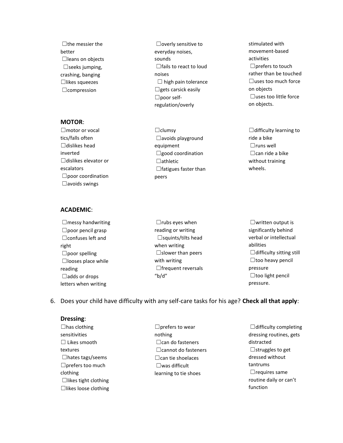$\Box$ the messier the better □leans on objects  $\Box$ seeks jumping, crashing, banging ☐likes squeezes ☐compression

## MOTOR:

□motor or vocal tics/falls often  $\Box$ dislikes head inverted ☐dislikes elevator or escalators ☐poor coordination ☐avoids swings

## ACADEMIC:

 $\Box$ messy handwriting ☐poor pencil grasp ☐confuses left and right  $\Box$ poor spelling ☐looses place while reading ☐adds or drops letters when writing

- ☐overly sensitive to everyday noises, sounds □fails to react to loud noises  $\Box$  high pain tolerance  $\Box$ gets carsick easily ☐poor selfregulation/overly
- ☐clumsy ☐avoids playground equipment ☐good coordination ☐athletic □fatigues faster than peers

stimulated with movement-based activities  $\Box$ prefers to touch rather than be touched  $\Box$ uses too much force on objects  $\Box$ uses too little force on objects.

 $\Box$ difficulty learning to ride a bike ☐runs well  $\Box$ can ride a bike without training wheels.

 $\Box$ rubs eyes when reading or writing  $\square$ squints/tilts head when writing □slower than peers with writing □frequent reversals "b/d"

☐written output is significantly behind verbal or intellectual abilities  $\Box$ difficulty sitting still  $\square$ too heavy pencil pressure  $\Box$ too light pencil pressure.

# 6. Does your child have difficulty with any self-care tasks for his age? Check all that apply:

#### Dressing:

- $\Box$ has clothing sensitivities ☐ Likes smooth textures ☐hates tags/seems ☐prefers too much clothing  $\Box$ likes tight clothing  $\Box$ likes loose clothing
- □ prefers to wear nothing ☐can do fasteners ☐cannot do fasteners ☐can tie shoelaces ☐was difficult learning to tie shoes
- $\Box$ difficulty completing dressing routines, gets distracted  $\Box$ struggles to get dressed without tantrums  $\Box$ requires same routine daily or can't function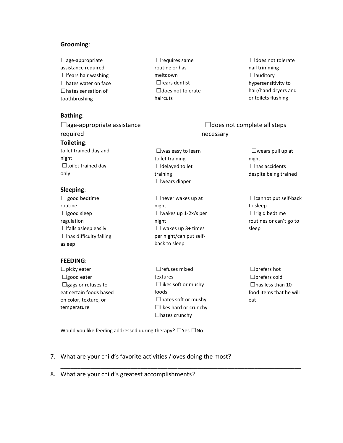## Grooming:

 $\Box$ age-appropriate assistance required  $\Box$ fears hair washing ☐hates water on face ☐hates sensation of toothbrushing

## Bathing:

 $\Box$ age-appropriate assistance required Toileting: toilet trained day and night ☐toilet trained day only

## Sleeping:

 $\Box$  good bedtime routine ☐good sleep regulation  $\Box$  falls asleep easily  $\Box$ has difficulty falling asleep ☐never wakes up at night ☐wakes up 1-2x/s per night  $\Box$  wakes up 3+ times per night/can put selfback to sleep

## FEEDING:

- $\square$ picky eater ☐good eater  $\Box$ gags or refuses to eat certain foods based on color, texture, or temperature
- ☐refuses mixed textures ☐likes soft or mushy foods  $\Box$ hates soft or mushy ☐likes hard or crunchy  $\Box$ hates crunchy

\_\_\_\_\_\_\_\_\_\_\_\_\_\_\_\_\_\_\_\_\_\_\_\_\_\_\_\_\_\_\_\_\_\_\_\_\_\_\_\_\_\_\_\_\_\_\_\_\_\_\_\_\_\_\_\_\_\_\_\_\_\_\_\_\_\_\_\_\_\_\_\_

\_\_\_\_\_\_\_\_\_\_\_\_\_\_\_\_\_\_\_\_\_\_\_\_\_\_\_\_\_\_\_\_\_\_\_\_\_\_\_\_\_\_\_\_\_\_\_\_\_\_\_\_\_\_\_\_\_\_\_\_\_\_\_\_\_\_\_\_\_\_\_\_

 $\Box$ requires same routine or has meltdown ☐fears dentist ☐does not tolerate

☐was easy to learn

toilet training  $\Box$ delayed toilet

☐wears diaper

training

haircuts

□does not tolerate nail trimming ☐auditory hypersensitivity to hair/hand dryers and or toilets flushing

# $\Box$ does not complete all steps necessary

 $\Box$ wears pull up at night ☐has accidents despite being trained

☐cannot put self-back to sleep  $\Box$ rigid bedtime routines or can't go to sleep

☐prefers hot ☐prefers cold  $\Box$ has less than 10 food items that he will eat

Would you like feeding addressed during therapy?  $\Box$ Yes  $\Box$ No.

- 7. What are your child's favorite activities /loves doing the most?
- 8. What are your child's greatest accomplishments?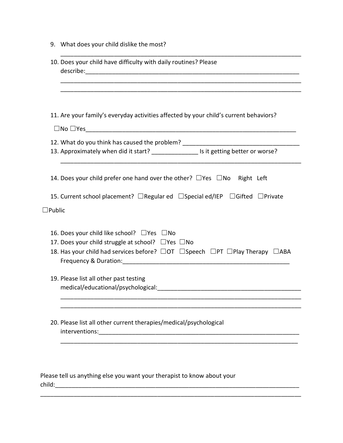|                  | 11. Are your family's everyday activities affected by your child's current behaviors?<br>$\square$ No $\square$ Yes $\square$ |  |  |  |
|------------------|-------------------------------------------------------------------------------------------------------------------------------|--|--|--|
|                  | 12. What do you think has caused the problem? __________________________________                                              |  |  |  |
|                  | 13. Approximately when did it start? _________________ Is it getting better or worse?                                         |  |  |  |
|                  |                                                                                                                               |  |  |  |
|                  | 14. Does your child prefer one hand over the other? $\Box$ Yes $\Box$ No Right Left                                           |  |  |  |
|                  | 15. Current school placement? □Regular ed □Special ed/IEP □Gifted □Private                                                    |  |  |  |
| $\square$ Public |                                                                                                                               |  |  |  |
|                  | 16. Does your child like school? $\Box$ Yes $\Box$ No                                                                         |  |  |  |
|                  | 17. Does your child struggle at school? $\Box$ Yes $\Box$ No                                                                  |  |  |  |
|                  | 18. Has your child had services before? $\Box$ OT $\Box$ Speech $\Box$ PT $\Box$ Play Therapy $\Box$ ABA                      |  |  |  |
|                  | 19. Please list all other past testing                                                                                        |  |  |  |
|                  |                                                                                                                               |  |  |  |
|                  |                                                                                                                               |  |  |  |
|                  | 20. Please list all other current therapies/medical/psychological                                                             |  |  |  |

9. What does your child dislike the most?

Please tell us anything else you want your therapist to know about your child:\_\_\_\_\_\_\_\_\_\_\_\_\_\_\_\_\_\_\_\_\_\_\_\_\_\_\_\_\_\_\_\_\_\_\_\_\_\_\_\_\_\_\_\_\_\_\_\_\_\_\_\_\_\_\_\_\_\_\_\_\_\_\_\_\_\_\_\_\_\_\_\_\_

\_\_\_\_\_\_\_\_\_\_\_\_\_\_\_\_\_\_\_\_\_\_\_\_\_\_\_\_\_\_\_\_\_\_\_\_\_\_\_\_\_\_\_\_\_\_\_\_\_\_\_\_\_\_\_\_\_\_\_\_\_\_\_\_\_\_\_\_\_\_\_\_\_\_\_\_\_\_